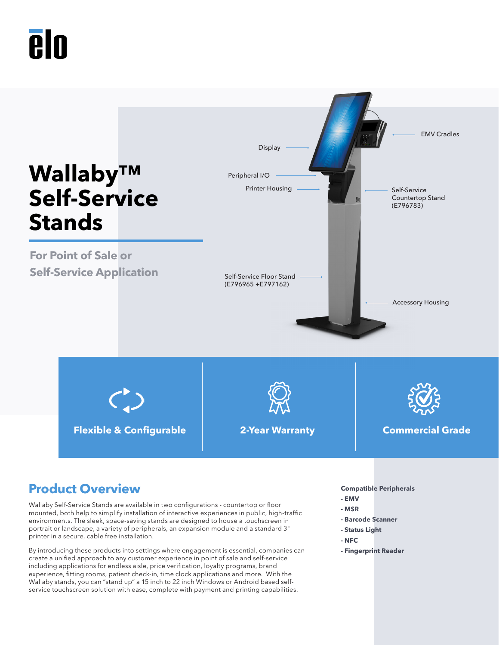# **PIN**



## **Product Overview Compatible Peripherals**

Wallaby Self-Service Stands are available in two configurations - countertop or floor mounted, both help to simplify installation of interactive experiences in public, high-traffic environments. The sleek, space-saving stands are designed to house a touchscreen in portrait or landscape, a variety of peripherals, an expansion module and a standard 3" printer in a secure, cable free installation.

By introducing these products into settings where engagement is essential, companies can create a unified approach to any customer experience in point of sale and self-service including applications for endless aisle, price verification, loyalty programs, brand experience, fitting rooms, patient check-in, time clock applications and more. With the Wallaby stands, you can "stand up" a 15 inch to 22 inch Windows or Android based selfservice touchscreen solution with ease, complete with payment and printing capabilities.

- **EMV**
- **MSR**
- **Barcode Scanner**
- **Status Light**
- **NFC**
- **Fingerprint Reader**